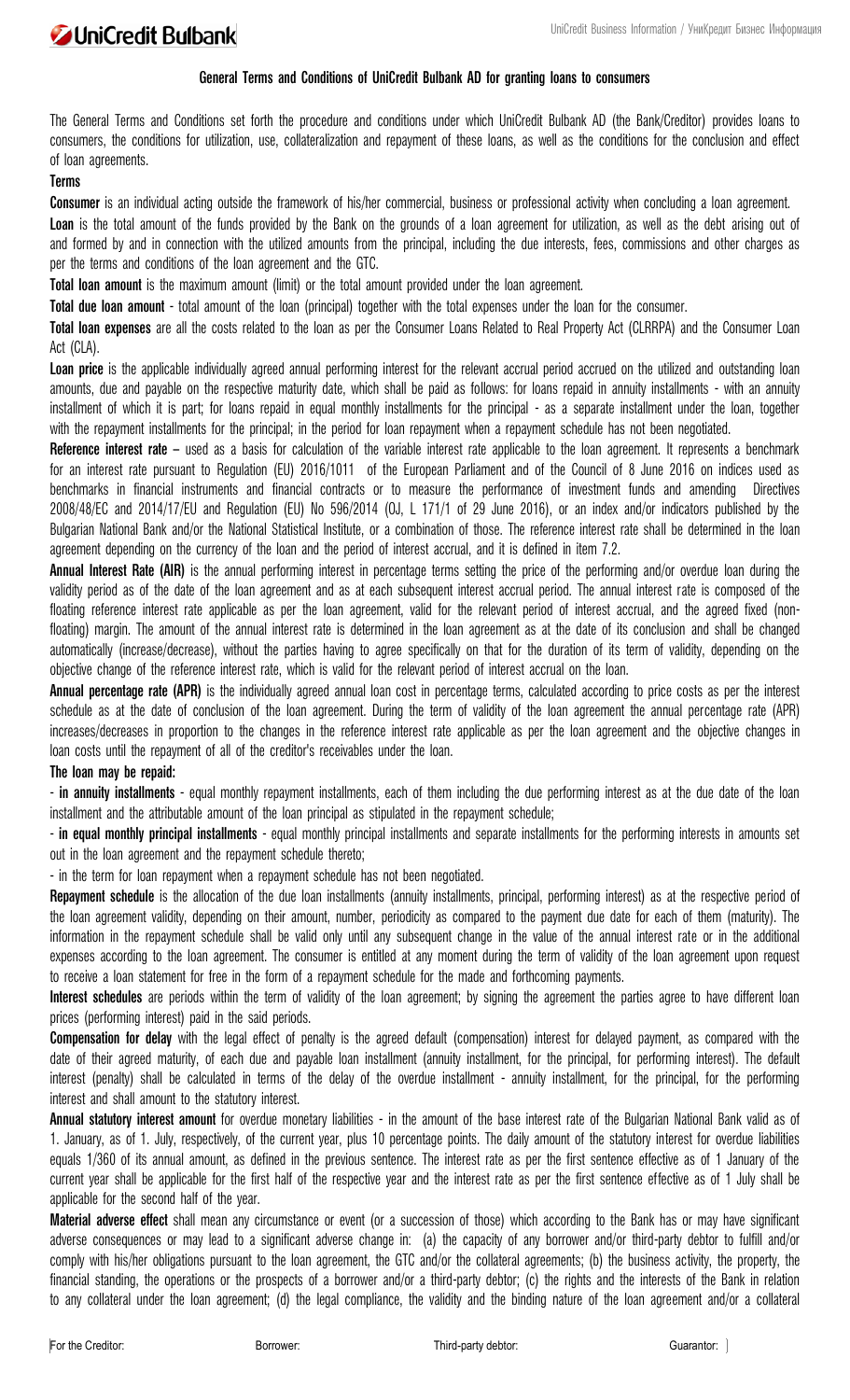

# **General Terms and Conditions of UniCredit Bulbank AD for granting loans to consumers**

The General Terms and Conditions set forth the procedure and conditions under which UniCredit Bulbank АD (the Bank/Creditor) provides loans to consumers, the conditions for utilization, use, collateralization and repayment of these loans, as well as the conditions for the conclusion and effect of loan agreements.

#### **Terms**

**Consumer** is an individual acting outside the framework of his/her commercial, business or professional activity when concluding a loan agreement. Loan is the total amount of the funds provided by the Bank on the grounds of a loan agreement for utilization, as well as the debt arising out of and formed by and in connection with the utilized amounts from the principal, including the due interests, fees, commissions and other charges as per the terms and conditions of the loan agreement and the GTC.

**Total loan amount** is the maximum amount (limit) or the total amount provided under the loan agreement.

**Total due loan amount** - total amount of the loan (principal) together with the total expenses under the loan for the consumer.

**Total loan expenses** are all the costs related to the loan as per the Consumer Loans Related to Real Property Act (CLRRPA) and the Consumer Loan Act (CLA).

**Loan price** is the applicable individually agreed annual performing interest for the relevant accrual period accrued on the utilized and outstanding loan amounts, due and payable on the respective maturity date, which shall be paid as follows: for loans repaid in annuity installments - with an annuity installment of which it is part; for loans repaid in equal monthly installments for the principal - as a separate installment under the loan, together with the repayment installments for the principal; in the period for loan repayment when a repayment schedule has not been negotiated.

Reference interest rate – used as a basis for calculation of the variable interest rate applicable to the loan agreement. It represents a benchmark for an interest rate pursuant to [Regulation \(EU\) 2016/1011](https://web.apis.bg/e.php?b=1&i=629399) of the European Parliament and of the Council of 8 June 2016 on indices used as benchmarks in financial instruments and financial contracts or to measure the performance of investment funds and amending [Directives](https://web.apis.bg/e.php?b=1&i=323905)  [2008/48/EC](https://web.apis.bg/e.php?b=1&i=323905) and [2014/17/ЕU](https://web.apis.bg/e.php?b=1&i=627977) and [Regulation \(EU\) No 596/2014](https://web.apis.bg/e.php?b=1&i=638426) (OJ, L 171/1 of 29 June 2016), or an index and/or indicators published by the Bulgarian National Bank and/or the National Statistical Institute, or a combination of those. The reference interest rate shall be determined in the loan agreement depending on the currency of the loan and the period of interest accrual, and it is defined in item 7.2.

**Annual Interest Rate (AIR)** is the annual performing interest in percentage terms setting the price of the performing and/or overdue loan during the validity period as of the date of the loan agreement and as at each subsequent interest accrual period. The annual interest rate is composed of the floating reference interest rate applicable as per the loan agreement, valid for the relevant period of interest accrual, and the agreed fixed (nonfloating) margin. The amount of the annual interest rate is determined in the loan agreement as at the date of its conclusion and shall be changed automatically (increase/decrease), without the parties having to agree specifically on that for the duration of its term of validity, depending on the objective change of the reference interest rate, which is valid for the relevant period of interest accrual on the loan.

**Annual percentage rate (APR)** is the individually agreed annual loan cost in percentage terms, calculated according to price costs as per the interest schedule as at the date of conclusion of the loan agreement. During the term of validity of the loan agreement the annual percentage rate (APR) increases/decreases in proportion to the changes in the reference interest rate applicable as per the loan agreement and the objective changes in loan costs until the repayment of all of the creditor's receivables under the loan.

# **The loan may be repaid:**

- **in annuity installments** - equal monthly repayment installments, each of them including the due performing interest as at the due date of the loan installment and the attributable amount of the loan principal as stipulated in the repayment schedule;

- **in equal monthly principal installments** - equal monthly principal installments and separate installments for the performing interests in amounts set out in the loan agreement and the repayment schedule thereto;

- in the term for loan repayment when a repayment schedule has not been negotiated.

**Repayment schedule** is the allocation of the due loan installments (annuity installments, principal, performing interest) as at the respective period of the loan agreement validity, depending on their amount, number, periodicity as compared to the payment due date for each of them (maturity). The information in the repayment schedule shall be valid only until any subsequent change in the value of the annual interest rate or in the additional expenses according to the loan agreement. The consumer is entitled at any moment during the term of validity of the loan agreement upon request to receive a loan statement for free in the form of a repayment schedule for the made and forthcoming payments.

Interest schedules are periods within the term of validity of the loan agreement; by signing the agreement the parties agree to have different loan prices (performing interest) paid in the said periods.

**Compensation for delay** with the legal effect of penalty is the agreed default (compensation) interest for delayed payment, as compared with the date of their agreed maturity, of each due and payable loan installment (annuity installment, for the principal, for performing interest). The default interest (penalty) shall be calculated in terms of the delay of the overdue installment - annuity installment, for the principal, for the performing interest and shall amount to the statutory interest.

**Annual statutory interest amount** for overdue monetary liabilities - in the amount of the base interest rate of the Bulgarian National Bank valid as of 1. January, as of 1. July, respectively, of the current year, plus 10 percentage points. The daily amount of the statutory interest for overdue liabilities equals 1/360 of its annual amount, as defined in the previous sentence. The interest rate as per the first sentence effective as of 1 January of the current year shall be applicable for the first half of the respective year and the interest rate as per the first sentence effective as of 1 July shall be applicable for the second half of the year.

**Material adverse effect** shall mean any circumstance or event (or a succession of those) which according to the Bank has or may have significant adverse consequences or may lead to a significant adverse change in: (a) the capacity of any borrower and/or third-party debtor to fulfill and/or comply with his/her obligations pursuant to the loan agreement, the GTC and/or the collateral agreements; (b) the business activity, the property, the financial standing, the operations or the prospects of a borrower and/or a third-party debtor; (c) the rights and the interests of the Bank in relation to any collateral under the loan agreement; (d) the legal compliance, the validity and the binding nature of the loan agreement and/or a collateral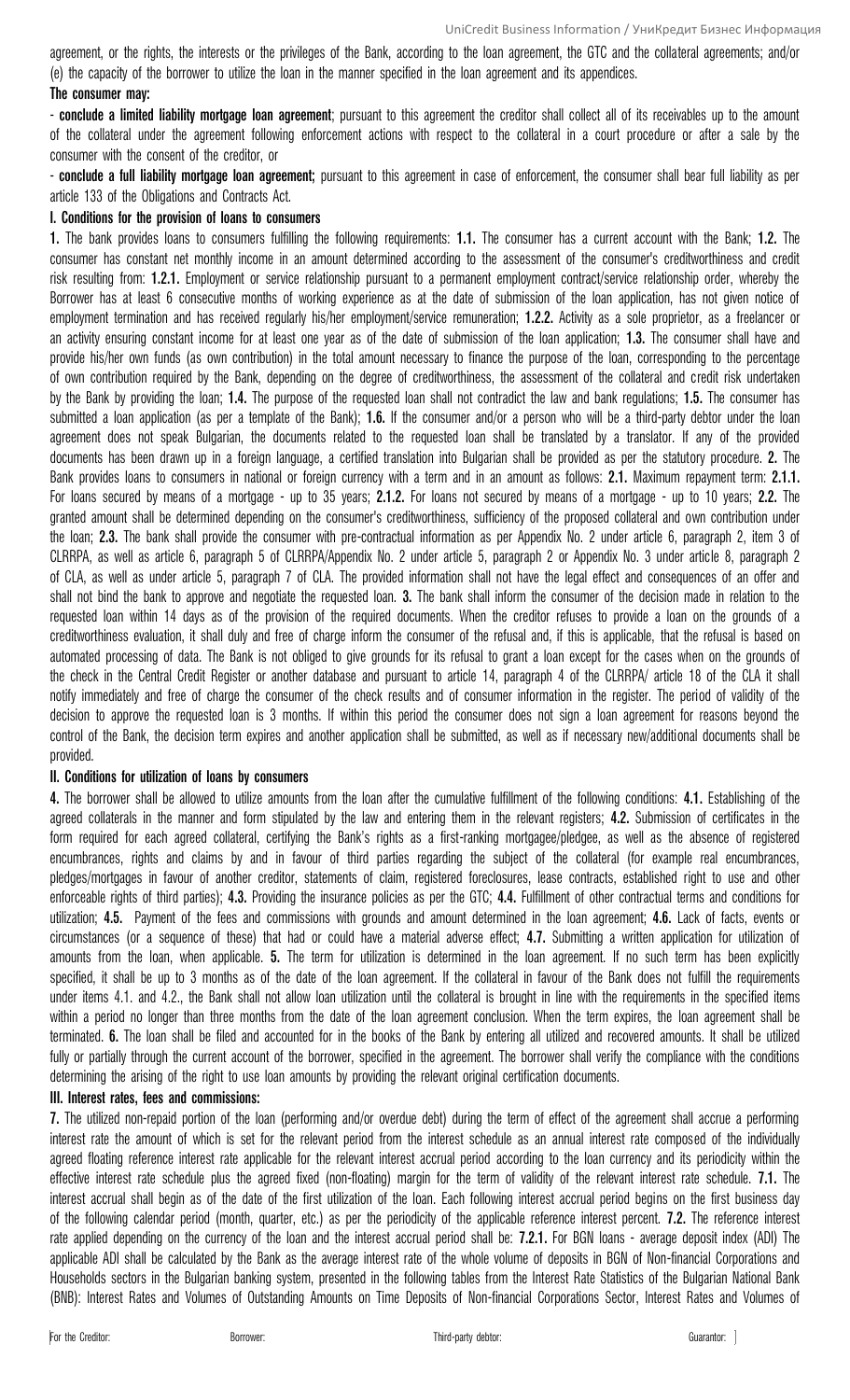agreement, or the rights, the interests or the privileges of the Bank, according to the loan agreement, the GTC and the collateral agreements; and/or (e) the capacity of the borrower to utilize the loan in the manner specified in the loan agreement and its appendices. **The consumer may:** 

- **conclude a limited liability mortgage loan agreement**; pursuant to this agreement the creditor shall collect all of its receivables up to the amount of the collateral under the agreement following enforcement actions with respect to the collateral in a court procedure or after a sale by the consumer with the consent of the creditor, or

- **conclude a full liability mortgage loan agreement**; pursuant to this agreement in case of enforcement, the consumer shall bear full liability as per article 133 of the Obligations and Contracts Act.

### **І. Conditions for the provision of loans to consumers**

**1.** The bank provides loans to consumers fulfilling the following requirements: **1.1.** The consumer has a current account with the Bank; **1.2.** The consumer has constant net monthly income in an amount determined according to the assessment of the consumer's creditworthiness and credit risk resulting from: **1.2.1.** Employment or service relationship pursuant to a permanent employment contract/service relationship order, whereby the Borrower has at least 6 consecutive months of working experience as at the date of submission of the loan application, has not given notice of employment termination and has received regularly his/her employment/service remuneration; **1.2.2.** Activity as a sole proprietor, as a freelancer or an activity ensuring constant income for at least one year as of the date of submission of the loan application; **1.3.** The consumer shall have and provide his/her own funds (as own contribution) in the total amount necessary to finance the purpose of the loan, corresponding to the percentage of own contribution required by the Bank, depending on the degree of creditworthiness, the assessment of the collateral and credit risk undertaken by the Bank by providing the loan; **1.4.** The purpose of the requested loan shall not contradict the law and bank regulations; **1.5.** The consumer has submitted a loan application (as per a template of the Bank); **1.6.** If the consumer and/or a person who will be a third-party debtor under the loan agreement does not speak Bulgarian, the documents related to the requested loan shall be translated by a translator. If any of the provided documents has been drawn up in a foreign language, a certified translation into Bulgarian shall be provided as per the statutory procedure. **2.** The Bank provides loans to consumers in national or foreign currency with a term and in an amount as follows: **2.1.** Maximum repayment term: **2.1.1.** For loans secured by means of a mortgage - up to 35 years; **2.1.2.** For loans not secured by means of a mortgage - up to 10 years; **2.2.** The granted amount shall be determined depending on the consumer's creditworthiness, sufficiency of the proposed collateral and own contribution under the loan; **2.3.** The bank shall provide the consumer with pre-contractual information as per Appendix No. 2 under article 6, paragraph 2, item 3 of CLRRPA, as well as article 6, paragraph 5 of CLRRPA/Appendix No. 2 under article 5, paragraph 2 or Appendix No. 3 under article 8, paragraph 2 of CLA, as well as under article 5, paragraph 7 of CLA. The provided information shall not have the legal effect and consequences of an offer and shall not bind the bank to approve and negotiate the requested loan. **3.** The bank shall inform the consumer of the decision made in relation to the requested loan within 14 days as of the provision of the required documents. When the creditor refuses to provide a loan on the grounds of a creditworthiness evaluation, it shall duly and free of charge inform the consumer of the refusal and, if this is applicable, that the refusal is based on automated processing of data. The Bank is not obliged to give grounds for its refusal to grant a loan except for the cases when on the grounds of the check in the Central Credit Register or another database and pursuant to article 14, paragraph 4 of the CLRRPA/ article 18 of the CLA it shall notify immediately and free of charge the consumer of the check results and of consumer information in the register. The period of validity of the decision to approve the requested loan is 3 months. If within this period the consumer does not sign a loan agreement for reasons beyond the control of the Bank, the decision term expires and another application shall be submitted, as well as if necessary new/additional documents shall be provided.

# **II. Conditions for utilization of loans by consumers**

**4.** The borrower shall be allowed to utilize amounts from the loan after the cumulative fulfillment of the following conditions: **4.1.** Establishing of the agreed collaterals in the manner and form stipulated by the law and entering them in the relevant registers; **4.2.** Submission of certificates in the form required for each agreed collateral, certifying the Bank's rights as a first-ranking mortgagee/pledgee, as well as the absence of registered encumbrances, rights and claims by and in favour of third parties regarding the subject of the collateral (for example real encumbrances, pledges/mortgages in favour of another creditor, statements of claim, registered foreclosures, lease contracts, established right to use and other enforceable rights of third parties); **4.3.** Providing the insurance policies as per the GTC; **4.4.** Fulfillment of other contractual terms and conditions for utilization; **4.5.** Payment of the fees and commissions with grounds and amount determined in the loan agreement; **4.6.** Lack of facts, events or circumstances (or a sequence of these) that had or could have a material adverse effect; **4.7.** Submitting a written application for utilization of amounts from the loan, when applicable. **5.** The term for utilization is determined in the loan agreement. If no such term has been explicitly specified, it shall be up to 3 months as of the date of the loan agreement. If the collateral in favour of the Bank does not fulfill the requirements under items 4.1. and 4.2., the Bank shall not allow loan utilization until the collateral is brought in line with the requirements in the specified items within a period no longer than three months from the date of the loan agreement conclusion. When the term expires, the loan agreement shall be terminated. **6.** The loan shall be filed and accounted for in the books of the Bank by entering all utilized and recovered amounts. It shall be utilized fully or partially through the current account of the borrower, specified in the agreement. The borrower shall verify the compliance with the conditions determining the arising of the right to use loan amounts by providing the relevant original certification documents.

### **ІІІ. Interest rates, fees and commissions:**

**7.** The utilized non-repaid portion of the loan (performing and/or overdue debt) during the term of effect of the agreement shall accrue a performing interest rate the amount of which is set for the relevant period from the interest schedule as an annual interest rate composed of the individually agreed floating reference interest rate applicable for the relevant interest accrual period according to the loan currency and its periodicity within the effective interest rate schedule plus the agreed fixed (non-floating) margin for the term of validity of the relevant interest rate schedule. **7.1.** The interest accrual shall begin as of the date of the first utilization of the loan. Each following interest accrual period begins on the first business day of the following calendar period (month, quarter, etc.) as per the periodicity of the applicable reference interest percent. **7.2.** The reference interest rate applied depending on the currency of the loan and the interest accrual period shall be: **7.2.1.** For BGN loans - average deposit index (ADI) The applicable ADI shall be calculated by the Bank as the average interest rate of the whole volume of deposits in BGN of Non-financial Corporations and Households sectors in the Bulgarian banking system, presented in the following tables from the Interest Rate Statistics of the Bulgarian National Bank (BNB): Interest Rates and Volumes of Outstanding Amounts on Time Deposits of Non-financial Corporations Sector, Interest Rates and Volumes of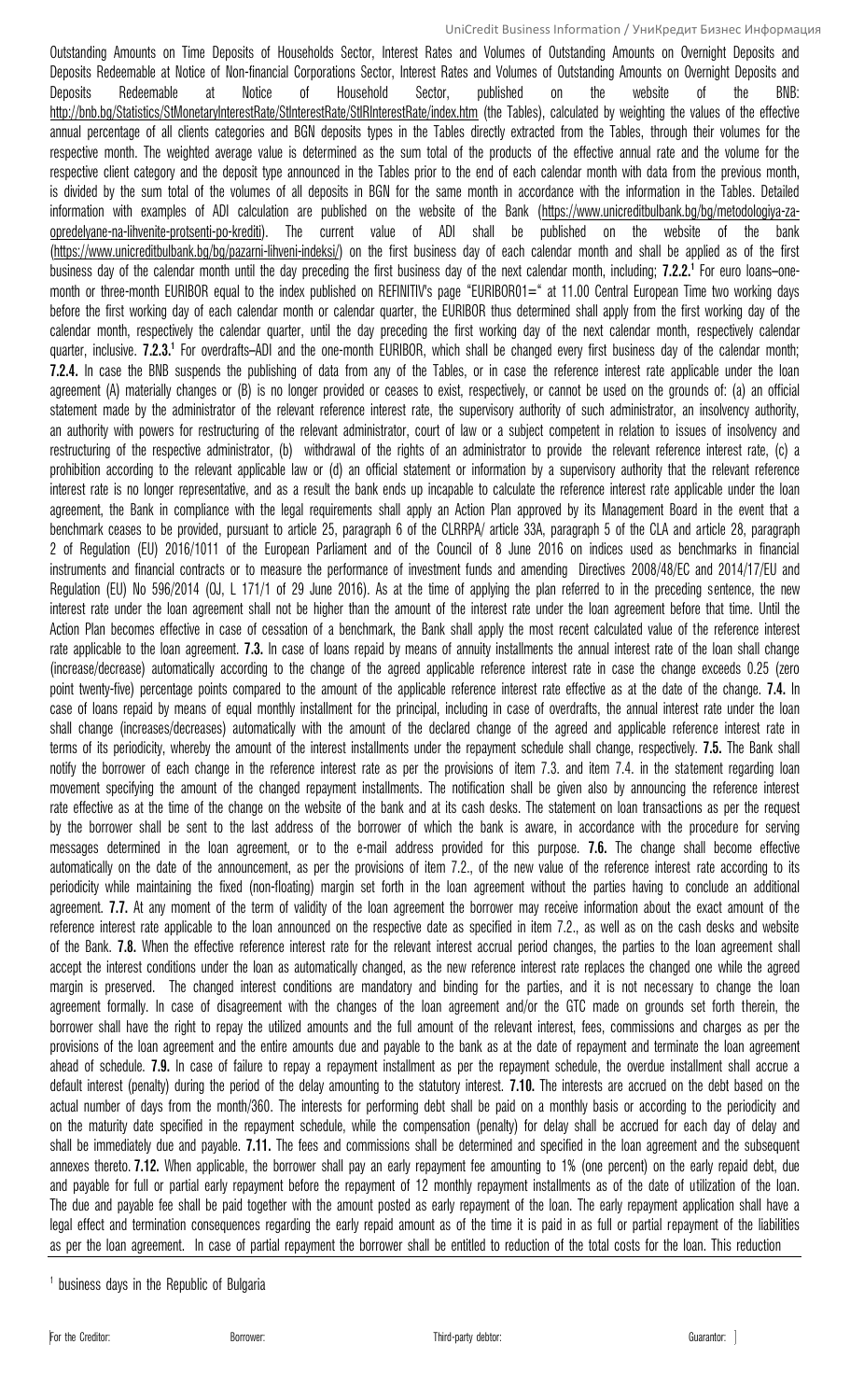Outstanding Amounts on Time Deposits of Households Sector, Interest Rates and Volumes of Outstanding Amounts on Overnight Deposits and Deposits Redeemable at Notice of Non-financial Corporations Sector, Interest Rates and Volumes of Outstanding Amounts on Overnight Deposits and Deposits Redeemable at Notice of Household Sector, published on the website of the BNB: <http://bnb.bg/Statistics/StMonetaryInterestRate/StInterestRate/StIRInterestRate/index.htm> (the Tables), calculated by weighting the values of the effective annual percentage of all clients categories and BGN deposits types in the Tables directly extracted from the Tables, through their volumes for the respective month. The weighted average value is determined as the sum total of the products of the effective annual rate and the volume for the respective client category and the deposit type announced in the Tables prior to the end of each calendar month with data from the previous month, is divided by the sum total of the volumes of all deposits in BGN for the same month in accordance with the information in the Tables. Detailed information with examples of ADI calculation are published on the website of the Bank [\(https://www.unicreditbulbank.bg/bg/metodologiya-za](https://www.unicreditbulbank.bg/bg/metodologiya-za-opredelyane-na-lihvenite-protsenti-po-krediti)[opredelyane-na-lihvenite-protsenti-po-krediti\)](https://www.unicreditbulbank.bg/bg/metodologiya-za-opredelyane-na-lihvenite-protsenti-po-krediti). The current value of ADI shall be published on the website of the bank [\(https://www.unicreditbulbank.bg/bg/pazarni-lihveni-indeksi/\)](https://www.unicreditbulbank.bg/bg/pazarni-lihveni-indeksi/) on the first business day of each calendar month and shall be applied as of the first business day of the calendar month until the day preceding the first business day of the next calendar month, including; **7.2.2.<sup>1</sup>** For euro loans–onemonth or three-month EURIBOR equal to the index published on REFINITIV's page "EURIBOR01=" at 11.00 Central European Time two working days before the first working day of each calendar month or calendar quarter, the EURIBOR thus determined shall apply from the first working day of the calendar month, respectively the calendar quarter, until the day preceding the first working day of the next calendar month, respectively calendar quarter, inclusive. **7.2.3.<sup>1</sup>** For overdrafts–ADI and the one-month EURIBOR, which shall be changed every first business day of the calendar month; **7.2.4.** In case the BNB suspends the publishing of data from any of the Tables, or in case the reference interest rate applicable under the loan agreement (A) materially changes or (B) is no longer provided or ceases to exist, respectively, or cannot be used on the grounds of: (a) an official statement made by the administrator of the relevant reference interest rate, the supervisory authority of such administrator, an insolvency authority, an authority with powers for restructuring of the relevant administrator, court of law or a subject competent in relation to issues of insolvency and restructuring of the respective administrator, (b) withdrawal of the rights of an administrator to provide the relevant reference interest rate, (c) a prohibition according to the relevant applicable law or (d) an official statement or information by a supervisory authority that the relevant reference interest rate is no longer representative, and as a result the bank ends up incapable to calculate the reference interest rate applicable under the loan agreement, the Bank in compliance with the legal requirements shall apply an Action Plan approved by its Management Board in the event that a benchmark ceases to be provided, pursuant to article 25, paragraph 6 of the CLRRPA/ article 33A, paragraph 5 of the CLA and article 28, paragraph 2 of Regulation (EU) 2016/1011 of the European Parliament and of the Council of 8 June 2016 on indices used as benchmarks in financial instruments and financial contracts or to measure the performance of investment funds and amending Directives 2008/48/EC and 2014/17/ЕU and Regulation (EU) No 596/2014 (OJ, L 171/1 of 29 June 2016). As at the time of applying the plan referred to in the preceding sentence, the new interest rate under the loan agreement shall not be higher than the amount of the interest rate under the loan agreement before that time. Until the Action Plan becomes effective in case of cessation of a benchmark, the Bank shall apply the most recent calculated value of the reference interest rate applicable to the loan agreement. **7.3.** In case of loans repaid by means of annuity installments the annual interest rate of the loan shall change (increase/decrease) automatically according to the change of the agreed applicable reference interest rate in case the change exceeds 0.25 (zero point twenty-five) percentage points compared to the amount of the applicable reference interest rate effective as at the date of the change. **7.4.** In case of loans repaid by means of equal monthly installment for the principal, including in case of overdrafts, the annual interest rate under the loan shall change (increases/decreases) automatically with the amount of the declared change of the agreed and applicable reference interest rate in terms of its periodicity, whereby the amount of the interest installments under the repayment schedule shall change, respectively. **7.5.** The Bank shall notify the borrower of each change in the reference interest rate as per the provisions of item 7.3. and item 7.4. in the statement regarding loan movement specifying the amount of the changed repayment installments. The notification shall be given also by announcing the reference interest rate effective as at the time of the change on the website of the bank and at its cash desks. The statement on loan transactions as per the request by the borrower shall be sent to the last address of the borrower of which the bank is aware, in accordance with the procedure for serving messages determined in the loan agreement, or to the e-mail address provided for this purpose. **7.6.** The change shall become effective automatically on the date of the announcement, as per the provisions of item 7.2., of the new value of the reference interest rate according to its periodicity while maintaining the fixed (non-floating) margin set forth in the loan agreement without the parties having to conclude an additional agreement. **7.7.** At any moment of the term of validity of the loan agreement the borrower may receive information about the exact amount of the reference interest rate applicable to the loan announced on the respective date as specified in item 7.2., as well as on the cash desks and website of the Bank. **7.8.** When the effective reference interest rate for the relevant interest accrual period changes, the parties to the loan agreement shall accept the interest conditions under the loan as automatically changed, as the new reference interest rate replaces the changed one while the agreed margin is preserved. The changed interest conditions are mandatory and binding for the parties, and it is not necessary to change the loan agreement formally. In case of disagreement with the changes of the loan agreement and/or the GTC made on grounds set forth therein, the borrower shall have the right to repay the utilized amounts and the full amount of the relevant interest, fees, commissions and charges as per the provisions of the loan agreement and the entire amounts due and payable to the bank as at the date of repayment and terminate the loan agreement ahead of schedule. **7.9.** In case of failure to repay a repayment installment as per the repayment schedule, the overdue installment shall accrue a default interest (penalty) during the period of the delay amounting to the statutory interest. **7.10.** The interests are accrued on the debt based on the actual number of days from the month/360. The interests for performing debt shall be paid on a monthly basis or according to the periodicity and on the maturity date specified in the repayment schedule, while the compensation (penalty) for delay shall be accrued for each day of delay and shall be immediately due and payable. **7.11.** The fees and commissions shall be determined and specified in the loan agreement and the subsequent annexes thereto. **7.12.** When applicable, the borrower shall pay an early repayment fee amounting to 1% (one percent) on the early repaid debt, due and payable for full or partial early repayment before the repayment of 12 monthly repayment installments as of the date of utilization of the loan. The due and payable fee shall be paid together with the amount posted as early repayment of the loan. The early repayment application shall have a legal effect and termination consequences regarding the early repaid amount as of the time it is paid in as full or partial repayment of the liabilities as per the loan agreement. In case of partial repayment the borrower shall be entitled to reduction of the total costs for the loan. This reduction

<sup>&</sup>lt;sup>1</sup> business days in the Republic of Bulgaria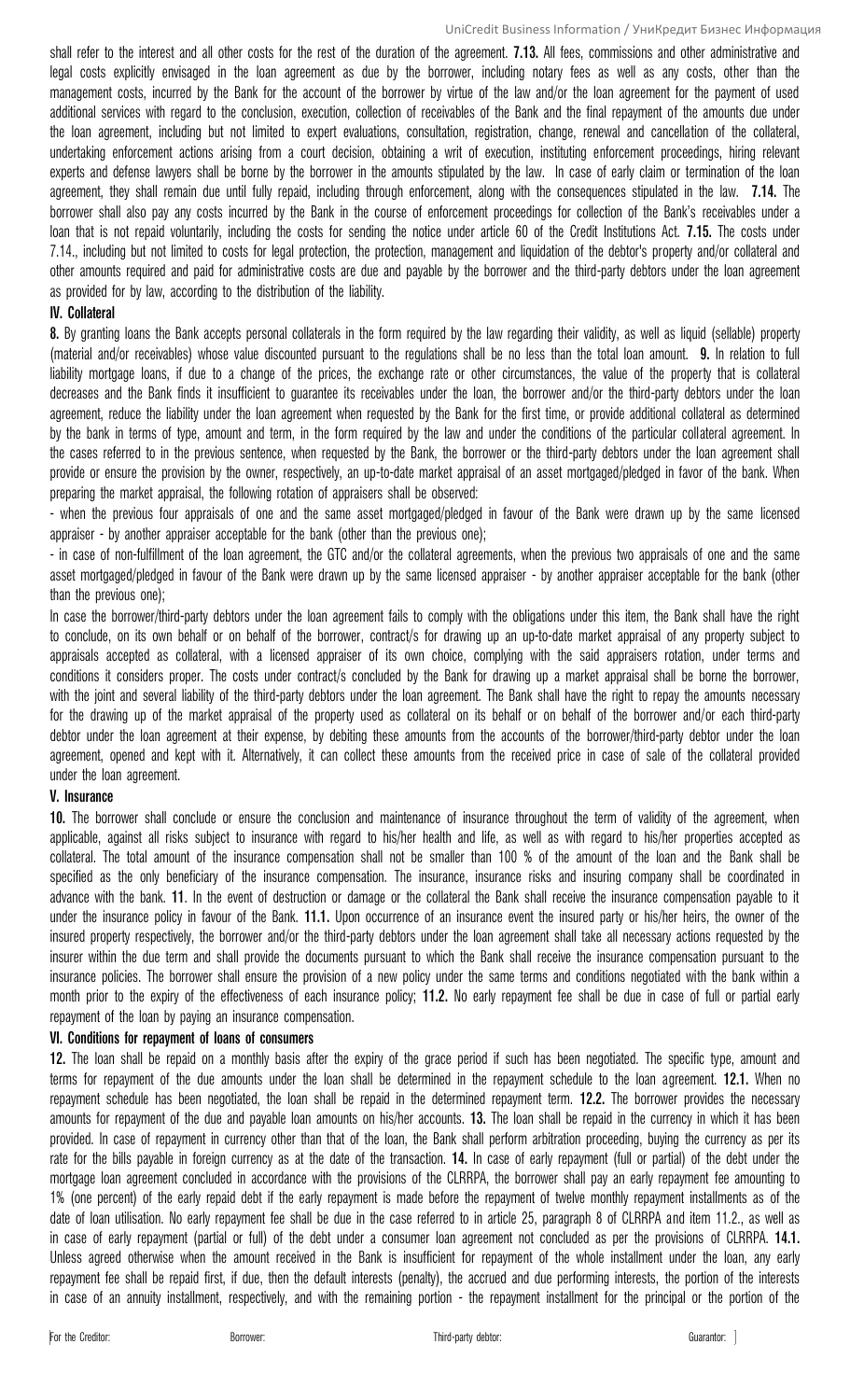shall refer to the interest and all other costs for the rest of the duration of the agreement. **7.13.** All fees, commissions and other administrative and legal costs explicitly envisaged in the loan agreement as due by the borrower, including notary fees as well as any costs, other than the management costs, incurred by the Bank for the account of the borrower by virtue of the law and/or the loan agreement for the payment of used additional services with regard to the conclusion, execution, collection of receivables of the Bank and the final repayment of the amounts due under the loan agreement, including but not limited to expert evaluations, consultation, registration, change, renewal and cancellation of the collateral, undertaking enforcement actions arising from a court decision, obtaining a writ of execution, instituting enforcement proceedings, hiring relevant experts and defense lawyers shall be borne by the borrower in the amounts stipulated by the law. In case of early claim or termination of the loan agreement, they shall remain due until fully repaid, including through enforcement, along with the consequences stipulated in the law. **7.14.** The borrower shall also pay any costs incurred by the Bank in the course of enforcement proceedings for collection of the Bank's receivables under a loan that is not repaid voluntarily, including the costs for sending the notice under article 60 of the Credit Institutions Act. **7.15.** The costs under 7.14., including but not limited to costs for legal protection, the protection, management and liquidation of the debtor's property and/or collateral and other amounts required and paid for administrative costs are due and payable by the borrower and the third-party debtors under the loan agreement as provided for by law, according to the distribution of the liability.

### **ІV. Collateral**

**8.** By granting loans the Bank accepts personal collaterals in the form required by the law regarding their validity, as well as liquid (sellable) property (material and/or receivables) whose value discounted pursuant to the regulations shall be no less than the total loan amount. **9.** In relation to full liability mortgage loans, if due to a change of the prices, the exchange rate or other circumstances, the value of the property that is collateral decreases and the Bank finds it insufficient to guarantee its receivables under the loan, the borrower and/or the third-party debtors under the loan agreement, reduce the liability under the loan agreement when requested by the Bank for the first time, or provide additional collateral as determined by the bank in terms of type, amount and term, in the form required by the law and under the conditions of the particular collateral agreement. In the cases referred to in the previous sentence, when requested by the Bank, the borrower or the third-party debtors under the loan agreement shall provide or ensure the provision by the owner, respectively, an up-to-date market appraisal of an asset mortgaged/pledged in favor of the bank. When preparing the market appraisal, the following rotation of appraisers shall be observed:

- when the previous four appraisals of one and the same asset mortgaged/pledged in favour of the Bank were drawn up by the same licensed appraiser - by another appraiser acceptable for the bank (other than the previous one);

- in case of non-fulfillment of the loan agreement, the GTC and/or the collateral agreements, when the previous two appraisals of one and the same asset mortgaged/pledged in favour of the Bank were drawn up by the same licensed appraiser - by another appraiser acceptable for the bank (other than the previous one);

In case the borrower/third-party debtors under the loan agreement fails to comply with the obligations under this item, the Bank shall have the right to conclude, on its own behalf or on behalf of the borrower, contract/s for drawing up an up-to-date market appraisal of any property subject to appraisals accepted as collateral, with a licensed appraiser of its own choice, complying with the said appraisers rotation, under terms and conditions it considers proper. The costs under contract/s concluded by the Bank for drawing up a market appraisal shall be borne the borrower, with the joint and several liability of the third-party debtors under the loan agreement. The Bank shall have the right to repay the amounts necessary for the drawing up of the market appraisal of the property used as collateral on its behalf or on behalf of the borrower and/or each third-party debtor under the loan agreement at their expense, by debiting these amounts from the accounts of the borrower/third-party debtor under the loan agreement, opened and kept with it. Alternatively, it can collect these amounts from the received price in case of sale of the collateral provided under the loan agreement.

### **V. Insurance**

**10.** The borrower shall conclude or ensure the conclusion and maintenance of insurance throughout the term of validity of the agreement, when applicable, against all risks subject to insurance with regard to his/her health and life, as well as with regard to his/her properties accepted as collateral. The total amount of the insurance compensation shall not be smaller than 100 % of the amount of the loan and the Bank shall be specified as the only beneficiary of the insurance compensation. The insurance, insurance risks and insuring company shall be coordinated in advance with the bank. **11**. In the event of destruction or damage or the collateral the Bank shall receive the insurance compensation payable to it under the insurance policy in favour of the Bank. **11.1.** Upon occurrence of an insurance event the insured party or his/her heirs, the owner of the insured property respectively, the borrower and/or the third-party debtors under the loan agreement shall take all necessary actions requested by the insurer within the due term and shall provide the documents pursuant to which the Bank shall receive the insurance compensation pursuant to the insurance policies. The borrower shall ensure the provision of a new policy under the same terms and conditions negotiated with the bank within a month prior to the expiry of the effectiveness of each insurance policy; **11.2.** No early repayment fee shall be due in case of full or partial early repayment of the loan by paying an insurance compensation.

# **VІ. Conditions for repayment of loans of consumers**

**12.** The loan shall be repaid on a monthly basis after the expiry of the grace period if such has been negotiated. The specific type, amount and terms for repayment of the due amounts under the loan shall be determined in the repayment schedule to the loan agreement. **12.1.** When no repayment schedule has been negotiated, the loan shall be repaid in the determined repayment term. **12.2.** The borrower provides the necessary amounts for repayment of the due and payable loan amounts on his/her accounts. **13.** The loan shall be repaid in the currency in which it has been provided. In case of repayment in currency other than that of the loan, the Bank shall perform arbitration proceeding, buying the currency as per its rate for the bills payable in foreign currency as at the date of the transaction. **14.** In case of early repayment (full or partial) of the debt under the mortgage loan agreement concluded in accordance with the provisions of the CLRRPA, the borrower shall pay an early repayment fee amounting to 1% (one percent) of the early repaid debt if the early repayment is made before the repayment of twelve monthly repayment installments as of the date of loan utilisation. No early repayment fee shall be due in the case referred to in article 25, paragraph 8 of CLRRPA and item 11.2., as well as in case of early repayment (partial or full) of the debt under a consumer loan agreement not concluded as per the provisions of CLRRPA. **14.1.** Unless agreed otherwise when the amount received in the Bank is insufficient for repayment of the whole installment under the loan, any early repayment fee shall be repaid first, if due, then the default interests (penalty), the accrued and due performing interests, the portion of the interests in case of an annuity installment, respectively, and with the remaining portion - the repayment installment for the principal or the portion of the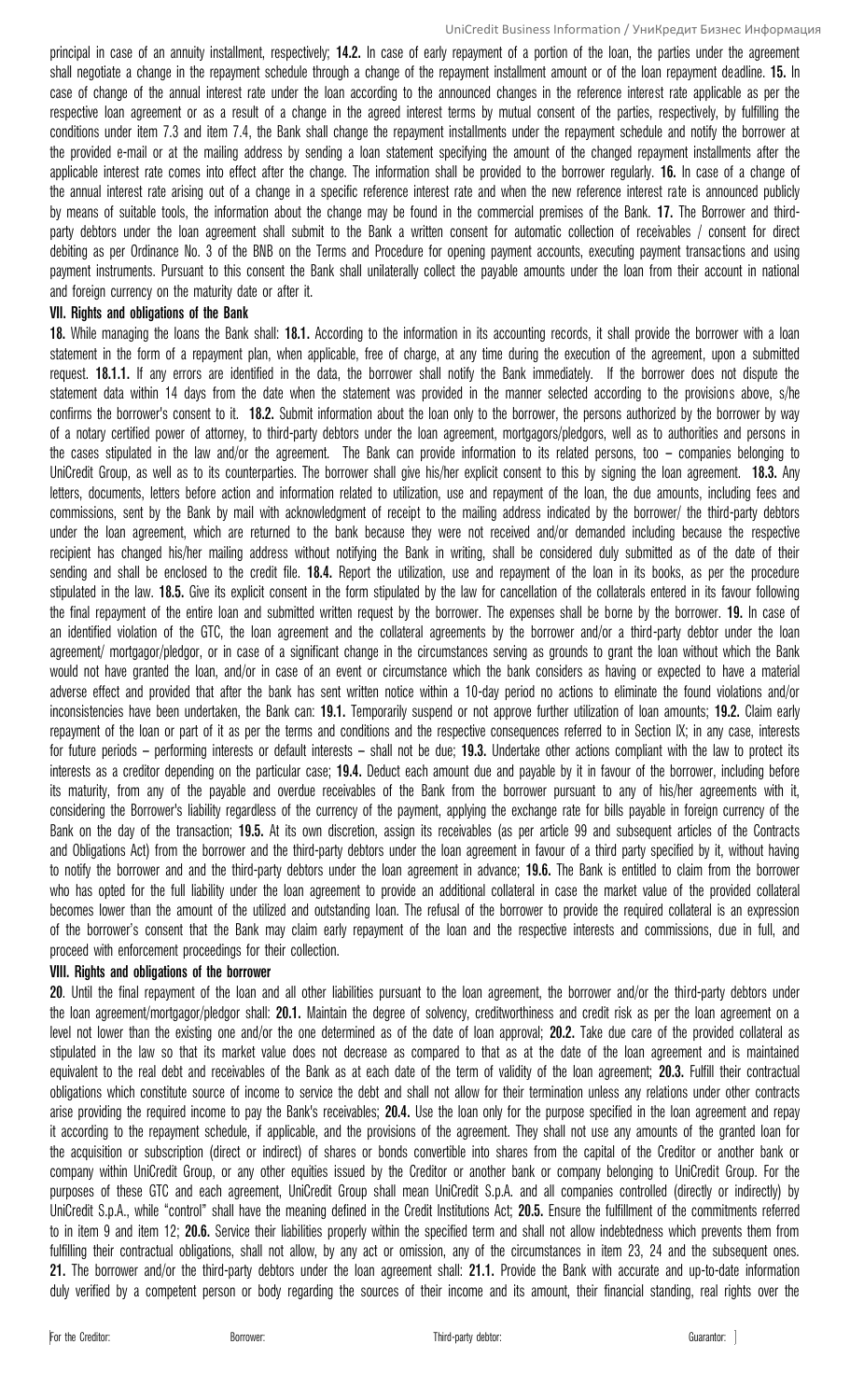principal in case of an annuity installment, respectively; **14.2.** In case of early repayment of a portion of the loan, the parties under the agreement shall negotiate a change in the repayment schedule through a change of the repayment installment amount or of the loan repayment deadline. **15.** In case of change of the annual interest rate under the loan according to the announced changes in the reference interest rate applicable as per the respective loan agreement or as a result of a change in the agreed interest terms by mutual consent of the parties, respectively, by fulfilling the conditions under item 7.3 and item 7.4, the Bank shall change the repayment installments under the repayment schedule and notify the borrower at the provided e-mail or at the mailing address by sending a loan statement specifying the amount of the changed repayment installments after the applicable interest rate comes into effect after the change. The information shall be provided to the borrower regularly. **16.** In case of a change of the annual interest rate arising out of a change in a specific reference interest rate and when the new reference interest rate is announced publicly by means of suitable tools, the information about the change may be found in the commercial premises of the Bank. **17.** The Borrower and thirdparty debtors under the loan agreement shall submit to the Bank a written consent for automatic collection of receivables / consent for direct debiting as per Ordinance No. 3 of the BNB on the Terms and Procedure for opening payment accounts, executing payment transactions and using payment instruments. Pursuant to this consent the Bank shall unilaterally collect the payable amounts under the loan from their account in national and foreign currency on the maturity date or after it.

#### **VІІ. Rights and obligations of the Bank**

**18.** While managing the loans the Bank shall: **18.1.** According to the information in its accounting records, it shall provide the borrower with a loan statement in the form of a repayment plan, when applicable, free of charge, at any time during the execution of the agreement, upon a submitted request. **18.1.1.** If any errors are identified in the data, the borrower shall notify the Bank immediately. If the borrower does not dispute the statement data within 14 days from the date when the statement was provided in the manner selected according to the provisions above, s/he confirms the borrower's consent to it. **18.2.** Submit information about the loan only to the borrower, the persons authorized by the borrower by way of a notary certified power of attorney, to third-party debtors under the loan agreement, mortgagors/pledgors, well as to authorities and persons in the cases stipulated in the law and/or the agreement. The Bank can provide information to its related persons, too – companies belonging to UniCredit Group, as well as to its counterparties. The borrower shall give his/her explicit consent to this by signing the loan agreement. **18.3.** Any letters, documents, letters before action and information related to utilization, use and repayment of the loan, the due amounts, including fees and commissions, sent by the Bank by mail with acknowledgment of receipt to the mailing address indicated by the borrower/ the third-party debtors under the loan agreement, which are returned to the bank because they were not received and/or demanded including because the respective recipient has changed his/her mailing address without notifying the Bank in writing, shall be considered duly submitted as of the date of their sending and shall be enclosed to the credit file. **18.4.** Report the utilization, use and repayment of the loan in its books, as per the procedure stipulated in the law. **18.5.** Give its explicit consent in the form stipulated by the law for cancellation of the collaterals entered in its favour following the final repayment of the entire loan and submitted written request by the borrower. The expenses shall be borne by the borrower. **19.** In case of an identified violation of the GTC, the loan agreement and the collateral agreements by the borrower and/or a third-party debtor under the loan agreement/ mortgagor/pledgor, or in case of a significant change in the circumstances serving as grounds to grant the loan without which the Bank would not have granted the loan, and/or in case of an event or circumstance which the bank considers as having or expected to have a material adverse effect and provided that after the bank has sent written notice within a 10-day period no actions to eliminate the found violations and/or inconsistencies have been undertaken, the Bank can: **19.1.** Temporarily suspend or not approve further utilization of loan amounts; **19.2.** Claim early repayment of the loan or part of it as per the terms and conditions and the respective consequences referred to in Section ІХ; in any case, interests for future periods – performing interests or default interests – shall not be due; **19.3.** Undertake other actions compliant with the law to protect its interests as a creditor depending on the particular case; **19.4.** Deduct each amount due and payable by it in favour of the borrower, including before its maturity, from any of the payable and overdue receivables of the Bank from the borrower pursuant to any of his/her agreements with it, considering the Borrower's liability regardless of the currency of the payment, applying the exchange rate for bills payable in foreign currency of the Bank on the day of the transaction; **19.5.** At its own discretion, assign its receivables (as per article 99 and subsequent articles of the Contracts and Obligations Act) from the borrower and the third-party debtors under the loan agreement in favour of a third party specified by it, without having to notify the borrower and and the third-party debtors under the loan agreement in advance; **19.6.** The Bank is entitled to claim from the borrower who has opted for the full liability under the loan agreement to provide an additional collateral in case the market value of the provided collateral becomes lower than the amount of the utilized and outstanding loan. The refusal of the borrower to provide the required collateral is an expression of the borrower's consent that the Bank may claim early repayment of the loan and the respective interests and commissions, due in full, and proceed with enforcement proceedings for their collection.

### **VІІІ. Rights and obligations of the borrower**

**20**. Until the final repayment of the loan and all other liabilities pursuant to the loan agreement, the borrower and/or the third-party debtors under the loan agreement/mortgagor/pledgor shall: **20.1.** Maintain the degree of solvency, creditworthiness and credit risk as per the loan agreement on a level not lower than the existing one and/or the one determined as of the date of loan approval; **20.2.** Take due care of the provided collateral as stipulated in the law so that its market value does not decrease as compared to that as at the date of the loan agreement and is maintained equivalent to the real debt and receivables of the Bank as at each date of the term of validity of the loan agreement; **20.3.** Fulfill their contractual obligations which constitute source of income to service the debt and shall not allow for their termination unless any relations under other contracts arise providing the required income to pay the Bank's receivables; **20.4.** Use the loan only for the purpose specified in the loan agreement and repay it according to the repayment schedule, if applicable, and the provisions of the agreement. They shall not use any amounts of the granted loan for the acquisition or subscription (direct or indirect) of shares or bonds convertible into shares from the capital of the Creditor or another bank or company within UniCredit Group, or any other equities issued by the Creditor or another bank or company belonging to UniCredit Group. For the purposes of these GTC and each agreement, UniCredit Group shall mean UniCredit S.p.A. and all companies controlled (directly or indirectly) by UniCredit S.p.A., while "control" shall have the meaning defined in the Credit Institutions Act; **20.5.** Ensure the fulfillment of the commitments referred to in item 9 and item 12; **20.6.** Service their liabilities properly within the specified term and shall not allow indebtedness which prevents them from fulfilling their contractual obligations, shall not allow, by any act or omission, any of the circumstances in item 23, 24 and the subsequent ones. **21.** The borrower and/or the third-party debtors under the loan agreement shall: **21.1.** Provide the Bank with accurate and up-to-date information duly verified by a competent person or body regarding the sources of their income and its amount, their financial standing, real rights over the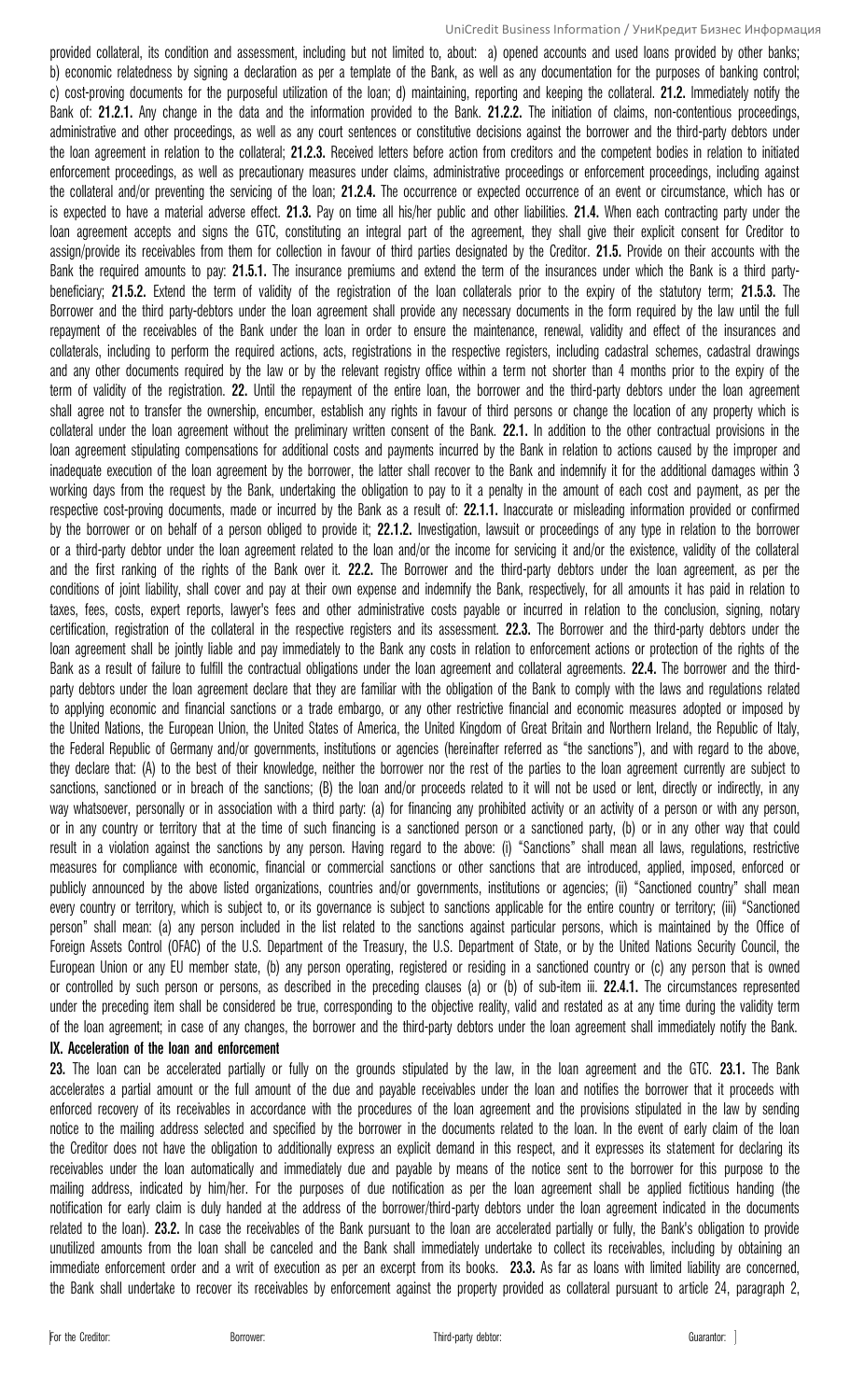provided collateral, its condition and assessment, including but not limited to, about: a) opened accounts and used loans provided by other banks; b) economic relatedness by signing a declaration as per a template of the Bank, as well as any documentation for the purposes of banking control; c) cost-proving documents for the purposeful utilization of the loan; d) maintaining, reporting and keeping the collateral. **21.2.** Immediately notify the Bank of: **21.2.1.** Any change in the data and the information provided to the Bank. **21.2.2.** The initiation of claims, non-contentious proceedings, administrative and other proceedings, as well as any court sentences or constitutive decisions against the borrower and the third-party debtors under the loan agreement in relation to the collateral; **21.2.3.** Received letters before action from creditors and the competent bodies in relation to initiated enforcement proceedings, as well as precautionary measures under claims, administrative proceedings or enforcement proceedings, including against the collateral and/or preventing the servicing of the loan; **21.2.4.** The occurrence or expected occurrence of an event or circumstance, which has or is expected to have a material adverse effect. **21.3.** Pay on time all his/her public and other liabilities. **21.4.** When each contracting party under the loan agreement accepts and signs the GTC, constituting an integral part of the agreement, they shall give their explicit consent for Creditor to assign/provide its receivables from them for collection in favour of third parties designated by the Creditor. **21.5.** Provide on their accounts with the Bank the required amounts to pay: **21.5.1.** The insurance premiums and extend the term of the insurances under which the Bank is a third partybeneficiary; **21.5.2.** Extend the term of validity of the registration of the loan collaterals prior to the expiry of the statutory term; **21.5.3.** The Borrower and the third party-debtors under the loan agreement shall provide any necessary documents in the form required by the law until the full repayment of the receivables of the Bank under the loan in order to ensure the maintenance, renewal, validity and effect of the insurances and collaterals, including to perform the required actions, acts, registrations in the respective registers, including cadastral schemes, cadastral drawings and any other documents required by the law or by the relevant registry office within a term not shorter than 4 months prior to the expiry of the term of validity of the registration. **22.** Until the repayment of the entire loan, the borrower and the third-party debtors under the loan agreement shall agree not to transfer the ownership, encumber, establish any rights in favour of third persons or change the location of any property which is collateral under the loan agreement without the preliminary written consent of the Bank. **22.1.** In addition to the other contractual provisions in the loan agreement stipulating compensations for additional costs and payments incurred by the Bank in relation to actions caused by the improper and inadequate execution of the loan agreement by the borrower, the latter shall recover to the Bank and indemnify it for the additional damages within 3 working days from the request by the Bank, undertaking the obligation to pay to it a penalty in the amount of each cost and payment, as per the respective cost-proving documents, made or incurred by the Bank as a result of: **22.1.1.** Inaccurate or misleading information provided or confirmed by the borrower or on behalf of a person obliged to provide it; **22.1.2.** Investigation, lawsuit or proceedings of any type in relation to the borrower or a third-party debtor under the loan agreement related to the loan and/or the income for servicing it and/or the existence, validity of the collateral and the first ranking of the rights of the Bank over it. **22.2.** The Borrower and the third-party debtors under the loan agreement, as per the conditions of joint liability, shall cover and pay at their own expense and indemnify the Bank, respectively, for all amounts it has paid in relation to taxes, fees, costs, expert reports, lawyer's fees and other administrative costs payable or incurred in relation to the conclusion, signing, notary certification, registration of the collateral in the respective registers and its assessment. **22.3.** The Borrower and the third-party debtors under the loan agreement shall be jointly liable and pay immediately to the Bank any costs in relation to enforcement actions or protection of the rights of the Bank as a result of failure to fulfill the contractual obligations under the loan agreement and collateral agreements. **22.4.** The borrower and the thirdparty debtors under the loan agreement declare that they are familiar with the obligation of the Bank to comply with the laws and regulations related to applying economic and financial sanctions or a trade embargo, or any other restrictive financial and economic measures adopted or imposed by the United Nations, the European Union, the United States of America, the United Kingdom of Great Britain and Northern Ireland, the Republic of Italy, the Federal Republic of Germany and/or governments, institutions or agencies (hereinafter referred as "the sanctions"), and with regard to the above, they declare that: (А) to the best of their knowledge, neither the borrower nor the rest of the parties to the loan agreement currently are subject to sanctions, sanctioned or in breach of the sanctions; (B) the loan and/or proceeds related to it will not be used or lent, directly or indirectly, in any way whatsoever, personally or in association with a third party: (а) for financing any prohibited activity or an activity of a person or with any person, or in any country or territory that at the time of such financing is a sanctioned person or a sanctioned party, (b) or in any other way that could result in a violation against the sanctions by any person. Having regard to the above: (i) "Sanctions" shall mean all laws, regulations, restrictive measures for compliance with economic, financial or commercial sanctions or other sanctions that are introduced, applied, imposed, enforced or publicly announced by the above listed organizations, countries and/or governments, institutions or agencies; (ii) "Sanctioned country" shall mean every country or territory, which is subject to, or its governance is subject to sanctions applicable for the entire country or territory; (iii) "Sanctioned person" shall mean: (а) any person included in the list related to the sanctions against particular persons, which is maintained by the Office of Foreign Assets Control (OFAC) of the U.S. Department of the Treasury, the U.S. Department of State, or by the United Nations Security Council, the European Union or any EU member state, (b) any person operating, registered or residing in a sanctioned country or (c) any person that is owned or controlled by such person or persons, as described in the preceding clauses (а) or (b) of sub-item iii. **22.4.1.** The circumstances represented under the preceding item shall be considered be true, corresponding to the objective reality, valid and restated as at any time during the validity term of the loan agreement; in case of any changes, the borrower and the third-party debtors under the loan agreement shall immediately notify the Bank.

### **ІХ. Acceleration of the loan and enforcement**

**23.** The loan can be accelerated partially or fully on the grounds stipulated by the law, in the loan agreement and the GTC. **23.1.** The Bank accelerates a partial amount or the full amount of the due and payable receivables under the loan and notifies the borrower that it proceeds with enforced recovery of its receivables in accordance with the procedures of the loan agreement and the provisions stipulated in the law by sending notice to the mailing address selected and specified by the borrower in the documents related to the loan. In the event of early claim of the loan the Creditor does not have the obligation to additionally express an explicit demand in this respect, and it expresses its statement for declaring its receivables under the loan automatically and immediately due and payable by means of the notice sent to the borrower for this purpose to the mailing address, indicated by him/her. For the purposes of due notification as per the loan agreement shall be applied fictitious handing (the notification for early claim is duly handed at the address of the borrower/third-party debtors under the loan agreement indicated in the documents related to the loan). **23.2.** In case the receivables of the Bank pursuant to the loan are accelerated partially or fully, the Bank's obligation to provide unutilized amounts from the loan shall be canceled and the Bank shall immediately undertake to collect its receivables, including by obtaining an immediate enforcement order and a writ of execution as per an excerpt from its books. **23.3.** As far as loans with limited liability are concerned, the Bank shall undertake to recover its receivables by enforcement against the property provided as collateral pursuant to article 24, paragraph 2,